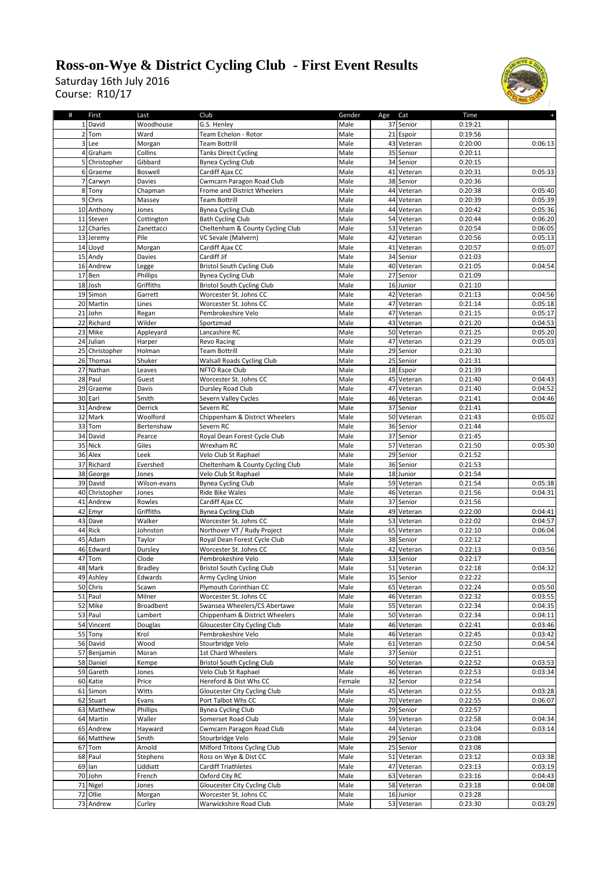## **Ross-on-Wye & District Cycling Club - First Event Results**

Course: R10/17 Saturday 16th July 2016



| #              | First          | Last             | Club                              | Gender | Age Cat |            | Time    |         |
|----------------|----------------|------------------|-----------------------------------|--------|---------|------------|---------|---------|
|                | 1 David        | Woodhouse        | G.S. Henley                       | Male   |         | 37 Senior  | 0:19:21 |         |
|                | 2 Tom          | Ward             | Team Echelon - Rotor              | Male   |         | 21 Espoir  | 0:19:56 |         |
|                | 3 Lee          | Morgan           | <b>Team Bottrill</b>              | Male   |         | 43 Veteran | 0:20:00 | 0:06:13 |
|                | 4 Graham       | Collins          | <b>Tanks Direct Cycling</b>       | Male   |         | 35 Senior  | 0:20:11 |         |
|                |                |                  |                                   |        |         |            |         |         |
|                | 5 Christopher  | Gibbard          | <b>Bynea Cycling Club</b>         | Male   |         | 34 Senior  | 0:20:15 |         |
|                | 6 Graeme       | Boswell          | Cardiff Ajax CC                   | Male   |         | 41 Veteran | 0:20:31 | 0:05:33 |
| $\overline{7}$ | Carwyn         | Davies           | Cwmcarn Paragon Road Club         | Male   |         | 38 Senior  | 0:20:36 |         |
|                | 8 Tony         | Chapman          | Frome and District Wheelers       | Male   |         | 44 Veteran | 0:20:38 | 0:05:40 |
|                | 9 Chris        | Massey           | <b>Team Bottrill</b>              | Male   |         | 44 Veteran | 0:20:39 | 0:05:39 |
|                | 10 Anthony     | Jones            | <b>Bynea Cycling Club</b>         | Male   |         | 44 Veteran | 0:20:42 | 0:05:36 |
|                | 11 Steven      | Cottington       | <b>Bath Cycling Club</b>          | Male   |         | 54 Veteran | 0:20:44 | 0:06:20 |
|                | 12 Charles     | Zanettacci       | Cheltenham & County Cycling Club  | Male   |         | 53 Veteran | 0:20:54 | 0:06:05 |
|                | 13 Jeremy      | Pile             | VC Sevale (Malvern)               | Male   |         | 42 Veteran |         |         |
|                |                |                  |                                   |        |         |            | 0:20:56 | 0:05:13 |
|                | 14 Lloyd       | Morgan           | Cardiff Ajax CC                   | Male   |         | 41 Veteran | 0:20:57 | 0:05:07 |
|                | 15 Andy        | Davies           | Cardiff Jif                       | Male   |         | 34 Senior  | 0:21:03 |         |
|                | 16 Andrew      | Legge            | <b>Bristol South Cycling Club</b> | Male   |         | 40 Veteran | 0:21:05 | 0:04:54 |
|                | 17 Ben         | Phillips         | <b>Bynea Cycling Club</b>         | Male   |         | 27 Senior  | 0:21:09 |         |
|                | 18 Josh        | Griffiths        | <b>Bristol South Cycling Club</b> | Male   |         | 16 Junior  | 0:21:10 |         |
|                | 19 Simon       | Garrett          | Worcester St. Johns CC            | Male   |         | 42 Veteran | 0:21:13 | 0:04:56 |
|                | 20 Martin      | Lines            | Worcester St. Johns CC            | Male   |         | 47 Veteran | 0:21:14 | 0:05:18 |
|                | 21 John        |                  |                                   |        |         | 47 Veteran |         |         |
|                |                | Regan            | Pembrokeshire Velo                | Male   |         |            | 0:21:15 | 0:05:17 |
|                | 22 Richard     | Wilder           | Sportzmad                         | Male   |         | 43 Veteran | 0:21:20 | 0:04:53 |
|                | 23 Mike        | Appleyard        | Lancashire RC                     | Male   |         | 50 Veteran | 0:21:25 | 0:05:20 |
|                | 24 Julian      | Harper           | <b>Revo Racing</b>                | Male   |         | 47 Veteran | 0:21:29 | 0:05:03 |
|                | 25 Christopher | Holman           | <b>Team Bottrill</b>              | Male   |         | 29 Senior  | 0:21:30 |         |
|                | 26 Thomas      | Shuker           | Walsall Roads Cycling Club        | Male   |         | 25 Senior  | 0:21:31 |         |
|                | 27 Nathan      | Leaves           | NFTO Race Club                    | Male   |         | 18 Espoir  | 0:21:39 |         |
|                | 28 Paul        |                  |                                   | Male   |         | 45 Veteran |         |         |
|                |                | Guest            | Worcester St. Johns CC            |        |         |            | 0:21:40 | 0:04:43 |
|                | 29 Graeme      | Davis            | Dursley Road Club                 | Male   |         | 47 Veteran | 0:21:40 | 0:04:52 |
|                | 30 Earl        | Smith            | Severn Valley Cycles              | Male   |         | 46 Veteran | 0:21:41 | 0:04:46 |
|                | 31 Andrew      | Derrick          | Severn RC                         | Male   |         | 37 Senior  | 0:21:41 |         |
|                | 32 Mark        | Woolford         | Chippenham & District Wheelers    | Male   |         | 50 Veteran | 0:21:43 | 0:05:02 |
|                | 33 Tom         | Bertenshaw       | Severn RC                         | Male   |         | 36 Senior  | 0:21:44 |         |
|                | 34 David       | Pearce           | Royal Dean Forest Cycle Club      | Male   |         | 37 Senior  | 0:21:45 |         |
|                | 35 Nick        | Giles            | Wrexham RC                        | Male   |         | 57 Veteran | 0:21:50 | 0:05:30 |
|                |                |                  |                                   |        |         |            |         |         |
|                | 36 Alex        | Leek             | Velo Club St Raphael              | Male   |         | 29 Senior  | 0:21:52 |         |
|                | 37 Richard     | Evershed         | Cheltenham & County Cycling Club  | Male   |         | 36 Senior  | 0:21:53 |         |
|                | 38 George      | Jones            | Velo Club St Raphael              | Male   |         | 18 Junior  | 0:21:54 |         |
|                | 39 David       | Wilson-evans     | <b>Bynea Cycling Club</b>         | Male   |         | 59 Veteran | 0:21:54 | 0:05:38 |
|                | 40 Christopher | Jones            | Ride Bike Wales                   | Male   |         | 46 Veteran | 0:21:56 | 0:04:31 |
|                | 41 Andrew      | Rowles           | Cardiff Ajax CC                   | Male   |         | 37 Senior  | 0:21:56 |         |
|                | 42 Emyr        | Griffiths        | <b>Bynea Cycling Club</b>         | Male   |         | 49 Veteran | 0:22:00 | 0:04:41 |
|                |                |                  |                                   |        |         |            |         |         |
|                | 43 Dave        | Walker           | Worcester St. Johns CC            | Male   |         | 53 Veteran | 0:22:02 | 0:04:57 |
|                | 44 Rick        | Johnston         | Northover VT / Rudy Project       | Male   |         | 65 Veteran | 0:22:10 | 0:06:04 |
|                | 45 Adam        | Taylor           | Royal Dean Forest Cycle Club      | Male   |         | 38 Senior  | 0:22:12 |         |
|                | 46 Edward      | Dursley          | Worcester St. Johns CC            | Male   |         | 42 Veteran | 0:22:13 | 0:03:56 |
| 47             | Tom            | Clode            | Pembrokeshire Velo                | Male   |         | 33 Senior  | 0:22:17 |         |
|                | 48 Mark        | <b>Bradley</b>   | <b>Bristol South Cycling Club</b> | Male   |         | 51 Veteran | 0:22:18 | 0:04:32 |
|                |                |                  |                                   |        |         |            | 0:22:22 |         |
|                | 49 Ashley      | Edwards          | Army Cycling Union                | Male   |         | 35 Senior  |         |         |
|                | 50 Chris       | Scawn            | Plymouth Corinthian CC            | Male   |         | 65 Veteran | 0:22:24 | 0:05:50 |
|                | 51 Paul        | Milner           | Worcester St. Johns CC            | Male   |         | 46 Veteran | 0:22:32 | 0:03:55 |
|                | 52 Mike        | <b>Broadbent</b> | Swansea Wheelers/CS Abertawe      | Male   |         | 55 Veteran | 0:22:34 | 0:04:35 |
|                | 53 Paul        | Lambert          | Chippenham & District Wheelers    | Male   |         | 50 Veteran | 0:22:34 | 0:04:11 |
|                | 54 Vincent     | Douglas          | Gloucester City Cycling Club      | Male   |         | 46 Veteran | 0:22:41 | 0:03:46 |
|                | 55 Tony        | Krol             | Pembrokeshire Velo                | Male   |         | 46 Veteran | 0:22:45 | 0:03:42 |
|                | 56 David       | Wood             | Stourbridge Velo                  | Male   |         | 61 Veteran | 0:22:50 | 0:04:54 |
|                |                |                  | 1st Chard Wheelers                |        |         |            |         |         |
|                | 57 Benjamin    | Moran            |                                   | Male   |         | 37 Senior  | 0:22:51 |         |
|                | 58 Daniel      | Kempe            | <b>Bristol South Cycling Club</b> | Male   |         | 50 Veteran | 0:22:52 | 0:03:53 |
|                | 59 Gareth      | Jones            | Velo Club St Raphael              | Male   |         | 46 Veteran | 0:22:53 | 0:03:34 |
|                | 60 Katie       | Price            | Hereford & Dist Whs CC            | Female |         | 32 Senior  | 0:22:54 |         |
|                | 61 Simon       | Witts            | Gloucester City Cycling Club      | Male   |         | 45 Veteran | 0:22:55 | 0:03:28 |
|                | 62 Stuart      | Evans            | Port Talbot Whs CC                | Male   |         | 70 Veteran | 0:22:55 | 0:06:07 |
|                |                |                  |                                   |        |         |            |         |         |
|                | 63 Matthew     | Phillips         | <b>Bynea Cycling Club</b>         | Male   |         | 29 Senior  | 0:22:57 |         |
|                | 64 Martin      | Waller           | Somerset Road Club                | Male   |         | 59 Veteran | 0:22:58 | 0:04:34 |
|                | 65 Andrew      | Hayward          | Cwmcarn Paragon Road Club         | Male   |         | 44 Veteran | 0:23:04 | 0:03:14 |
|                | 66 Matthew     | Smith            | Stourbridge Velo                  | Male   |         | 29 Senior  | 0:23:08 |         |
|                | 67 Tom         | Arnold           | Milford Tritons Cycling Club      | Male   |         | 25 Senior  | 0:23:08 |         |
|                | 68 Paul        | Stephens         | Ross on Wye & Dist CC             | Male   |         | 51 Veteran | 0:23:12 | 0:03:38 |
|                | 69 Ian         | Liddiatt         | Cardiff Triathletes               | Male   |         | 47 Veteran | 0:23:13 | 0:03:19 |
|                |                |                  |                                   |        |         |            |         |         |
|                | 70 John        | French           | Oxford City RC                    | Male   |         | 63 Veteran | 0:23:16 | 0:04:43 |
|                | 71 Nigel       | Jones            | Gloucester City Cycling Club      | Male   |         | 58 Veteran | 0:23:18 | 0:04:08 |
|                | 72 Ollie       | Morgan           | Worcester St. Johns CC            | Male   |         | 16 Junior  | 0:23:28 |         |
|                | 73 Andrew      | Curley           | Warwickshire Road Club            | Male   |         | 53 Veteran | 0:23:30 | 0:03:29 |